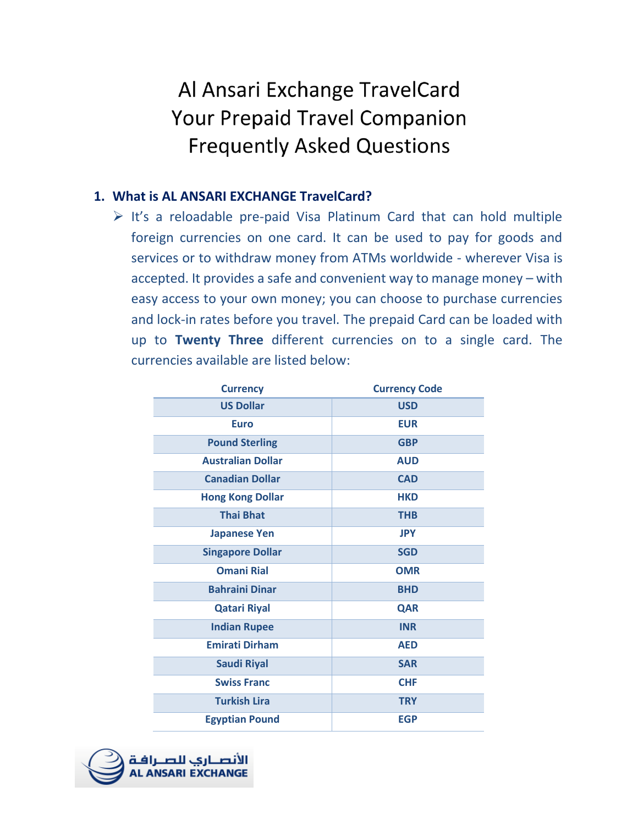# Al Ansari Exchange TravelCard **Your Prepaid Travel Companion Frequently Asked Questions**

#### **1. What is AL ANSARI EXCHANGE TravelCard?**

 $\triangleright$  It's a reloadable pre-paid Visa Platinum Card that can hold multiple foreign currencies on one card. It can be used to pay for goods and services or to withdraw money from ATMs worldwide - wherever Visa is accepted. It provides a safe and convenient way to manage money – with easy access to your own money; you can choose to purchase currencies and lock-in rates before you travel. The prepaid Card can be loaded with up to **Twenty Three** different currencies on to a single card. The currencies available are listed below:

| <b>Currency</b>          | <b>Currency Code</b> |
|--------------------------|----------------------|
| <b>US Dollar</b>         | <b>USD</b>           |
| <b>Euro</b>              | <b>EUR</b>           |
| <b>Pound Sterling</b>    | <b>GBP</b>           |
| <b>Australian Dollar</b> | <b>AUD</b>           |
| <b>Canadian Dollar</b>   | <b>CAD</b>           |
| <b>Hong Kong Dollar</b>  | <b>HKD</b>           |
| <b>Thai Bhat</b>         | <b>THB</b>           |
| <b>Japanese Yen</b>      | <b>JPY</b>           |
| <b>Singapore Dollar</b>  | <b>SGD</b>           |
| <b>Omani Rial</b>        | <b>OMR</b>           |
| <b>Bahraini Dinar</b>    | <b>BHD</b>           |
| <b>Qatari Riyal</b>      | <b>QAR</b>           |
| <b>Indian Rupee</b>      | <b>INR</b>           |
| <b>Emirati Dirham</b>    | <b>AED</b>           |
| <b>Saudi Riyal</b>       | <b>SAR</b>           |
| <b>Swiss Franc</b>       | <b>CHF</b>           |
| <b>Turkish Lira</b>      | <b>TRY</b>           |
| <b>Egyptian Pound</b>    | <b>EGP</b>           |

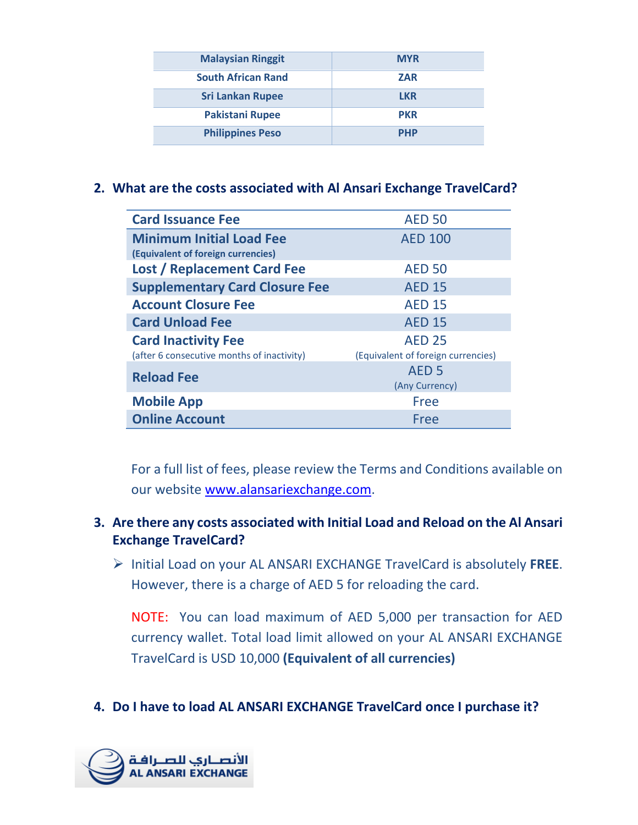| <b>Malaysian Ringgit</b>  | <b>MYR</b> |
|---------------------------|------------|
| <b>South African Rand</b> | <b>ZAR</b> |
| <b>Sri Lankan Rupee</b>   | <b>LKR</b> |
| <b>Pakistani Rupee</b>    | <b>PKR</b> |
| <b>Philippines Peso</b>   | <b>PHP</b> |

#### **2. What are the costs associated with Al Ansari Exchange TravelCard?**

| <b>Card Issuance Fee</b>                   | <b>AED 50</b>                      |
|--------------------------------------------|------------------------------------|
| <b>Minimum Initial Load Fee</b>            | <b>AED 100</b>                     |
| (Equivalent of foreign currencies)         |                                    |
| <b>Lost / Replacement Card Fee</b>         | <b>AED 50</b>                      |
| <b>Supplementary Card Closure Fee</b>      | <b>AED 15</b>                      |
| <b>Account Closure Fee</b>                 | <b>AED 15</b>                      |
| <b>Card Unload Fee</b>                     | <b>AED 15</b>                      |
| <b>Card Inactivity Fee</b>                 | <b>AED 25</b>                      |
| (after 6 consecutive months of inactivity) | (Equivalent of foreign currencies) |
| <b>Reload Fee</b>                          | AED <sub>5</sub>                   |
|                                            | (Any Currency)                     |
| <b>Mobile App</b>                          | Free                               |
| <b>Online Account</b>                      | Free                               |

For a full list of fees, please review the Terms and Conditions available on our website [www.alansariexchange.com.](http://www.alansariexchange.com/)

#### **3. Are there any costs associated with Initial Load and Reload on the Al Ansari Exchange TravelCard?**

 Initial Load on your AL ANSARI EXCHANGE TravelCard is absolutely **FREE**. However, there is a charge of AED 5 for reloading the card.

NOTE: You can load maximum of AED 5,000 per transaction for AED currency wallet. Total load limit allowed on your AL ANSARI EXCHANGE TravelCard is USD 10,000 **(Equivalent of all currencies)**

#### **4. Do I have to load AL ANSARI EXCHANGE TravelCard once I purchase it?**

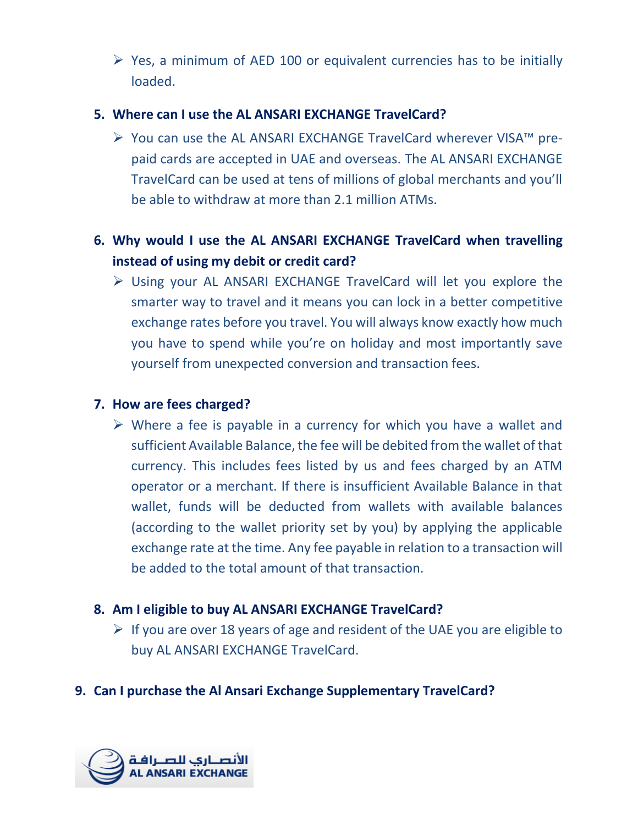$\triangleright$  Yes, a minimum of AED 100 or equivalent currencies has to be initially loaded.

#### **5. Where can I use the AL ANSARI EXCHANGE TravelCard?**

 You can use the AL ANSARI EXCHANGE TravelCard wherever VISA™ prepaid cards are accepted in UAE and overseas. The AL ANSARI EXCHANGE TravelCard can be used at tens of millions of global merchants and you'll be able to withdraw at more than 2.1 million ATMs.

### **6. Why would I use the AL ANSARI EXCHANGE TravelCard when travelling instead of using my debit or credit card?**

 Using your AL ANSARI EXCHANGE TravelCard will let you explore the smarter way to travel and it means you can lock in a better competitive exchange rates before you travel. You will always know exactly how much you have to spend while you're on holiday and most importantly save yourself from unexpected conversion and transaction fees.

#### **7. How are fees charged?**

 $\triangleright$  Where a fee is payable in a currency for which you have a wallet and sufficient Available Balance, the fee will be debited from the wallet of that currency. This includes fees listed by us and fees charged by an ATM operator or a merchant. If there is insufficient Available Balance in that wallet, funds will be deducted from wallets with available balances (according to the wallet priority set by you) by applying the applicable exchange rate at the time. Any fee payable in relation to a transaction will be added to the total amount of that transaction.

#### **8. Am I eligible to buy AL ANSARI EXCHANGE TravelCard?**

 $\triangleright$  If you are over 18 years of age and resident of the UAE you are eligible to buy AL ANSARI EXCHANGE TravelCard.

#### **9. Can I purchase the Al Ansari Exchange Supplementary TravelCard?**

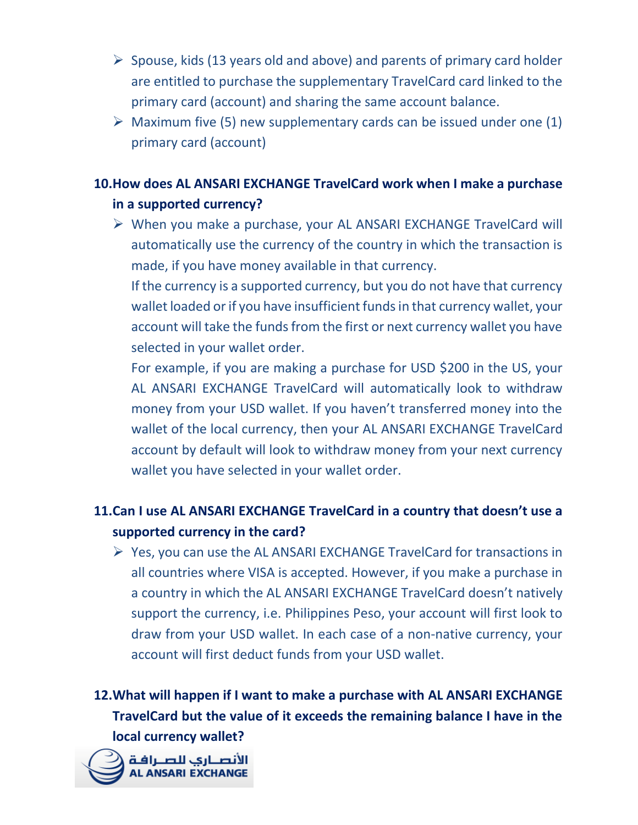- $\triangleright$  Spouse, kids (13 years old and above) and parents of primary card holder are entitled to purchase the supplementary TravelCard card linked to the primary card (account) and sharing the same account balance.
- $\triangleright$  Maximum five (5) new supplementary cards can be issued under one (1) primary card (account)

### **10.How does AL ANSARI EXCHANGE TravelCard work when I make a purchase in a supported currency?**

 When you make a purchase, your AL ANSARI EXCHANGE TravelCard will automatically use the currency of the country in which the transaction is made, if you have money available in that currency.

If the currency is a supported currency, but you do not have that currency wallet loaded or if you have insufficient funds in that currency wallet, your account will take the funds from the first or next currency wallet you have selected in your wallet order.

For example, if you are making a purchase for USD \$200 in the US, your AL ANSARI EXCHANGE TravelCard will automatically look to withdraw money from your USD wallet. If you haven't transferred money into the wallet of the local currency, then your AL ANSARI EXCHANGE TravelCard account by default will look to withdraw money from your next currency wallet you have selected in your wallet order.

# **11.Can I use AL ANSARI EXCHANGE TravelCard in a country that doesn't use a supported currency in the card?**

 $\triangleright$  Yes, you can use the AL ANSARI EXCHANGE TravelCard for transactions in all countries where VISA is accepted. However, if you make a purchase in a country in which the AL ANSARI EXCHANGE TravelCard doesn't natively support the currency, i.e. Philippines Peso, your account will first look to draw from your USD wallet. In each case of a non-native currency, your account will first deduct funds from your USD wallet.

**12.What will happen if I want to make a purchase with AL ANSARI EXCHANGE TravelCard but the value of it exceeds the remaining balance I have in the local currency wallet?**

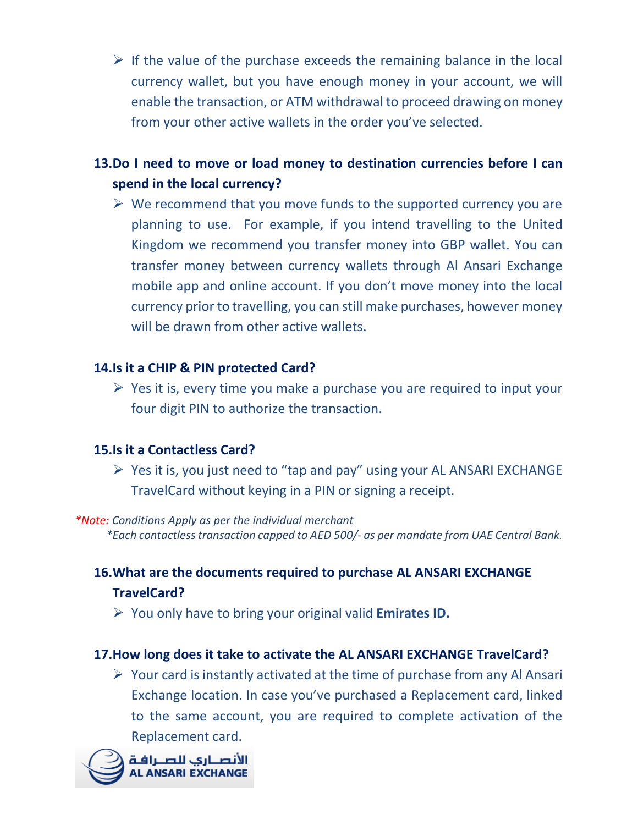$\triangleright$  If the value of the purchase exceeds the remaining balance in the local currency wallet, but you have enough money in your account, we will enable the transaction, or ATM withdrawal to proceed drawing on money from your other active wallets in the order you've selected.

### **13.Do I need to move or load money to destination currencies before I can spend in the local currency?**

 $\triangleright$  We recommend that you move funds to the supported currency you are planning to use. For example, if you intend travelling to the United Kingdom we recommend you transfer money into GBP wallet. You can transfer money between currency wallets through Al Ansari Exchange mobile app and online account. If you don't move money into the local currency prior to travelling, you can still make purchases, however money will be drawn from other active wallets.

#### **14.Is it a CHIP & PIN protected Card?**

 $\triangleright$  Yes it is, every time you make a purchase you are required to input your four digit PIN to authorize the transaction.

#### **15.Is it a Contactless Card?**

 $\triangleright$  Yes it is, you just need to "tap and pay" using your AL ANSARI EXCHANGE TravelCard without keying in a PIN or signing a receipt.

*\*Note: Conditions Apply as per the individual merchant \*Each contactless transaction capped to AED 500/- as per mandate from UAE Central Bank.*

### **16.What are the documents required to purchase AL ANSARI EXCHANGE TravelCard?**

You only have to bring your original valid **Emirates ID.**

#### **17.How long does it take to activate the AL ANSARI EXCHANGE TravelCard?**

 $\triangleright$  Your card is instantly activated at the time of purchase from any Al Ansari Exchange location. In case you've purchased a Replacement card, linked to the same account, you are required to complete activation of the Replacement card.

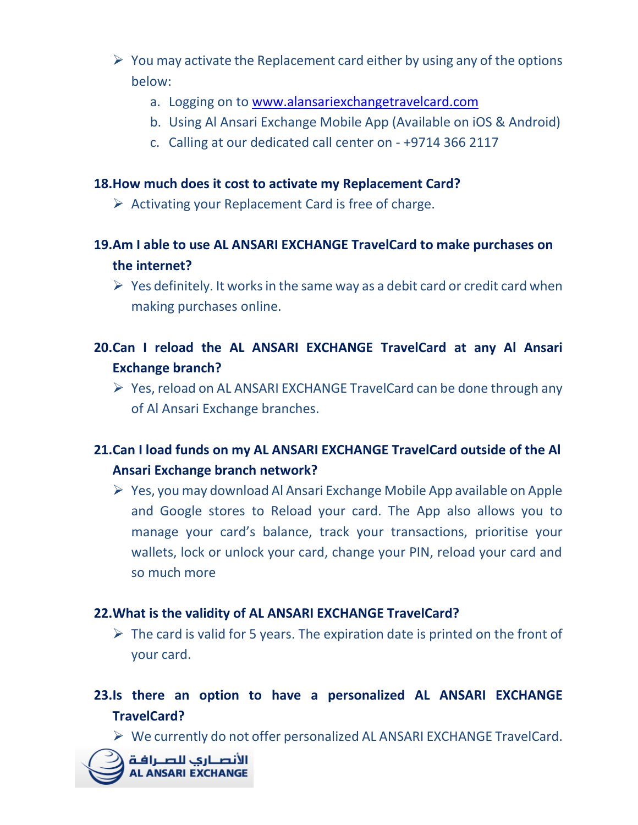- $\triangleright$  You may activate the Replacement card either by using any of the options below:
	- a. Logging on to [www.alansariexchangetravelcard.com](http://www.alansariexchangetravelcard.com/)
	- b. Using Al Ansari Exchange Mobile App (Available on iOS & Android)
	- c. Calling at our dedicated call center on +9714 366 2117

#### **18.How much does it cost to activate my Replacement Card?**

- $\triangleright$  Activating your Replacement Card is free of charge.
- **19.Am I able to use AL ANSARI EXCHANGE TravelCard to make purchases on the internet?**
	- $\triangleright$  Yes definitely. It works in the same way as a debit card or credit card when making purchases online.

## **20.Can I reload the AL ANSARI EXCHANGE TravelCard at any Al Ansari Exchange branch?**

 $\triangleright$  Yes, reload on AL ANSARI EXCHANGE TravelCard can be done through any of Al Ansari Exchange branches.

# **21.Can I load funds on my AL ANSARI EXCHANGE TravelCard outside of the Al Ansari Exchange branch network?**

 $\triangleright$  Yes, you may download Al Ansari Exchange Mobile App available on Apple and Google stores to Reload your card. The App also allows you to manage your card's balance, track your transactions, prioritise your wallets, lock or unlock your card, change your PIN, reload your card and so much more

#### **22.What is the validity of AL ANSARI EXCHANGE TravelCard?**

 $\triangleright$  The card is valid for 5 years. The expiration date is printed on the front of your card.

# **23.Is there an option to have a personalized AL ANSARI EXCHANGE TravelCard?**

 $\triangleright$  We currently do not offer personalized AL ANSARI EXCHANGE TravelCard.

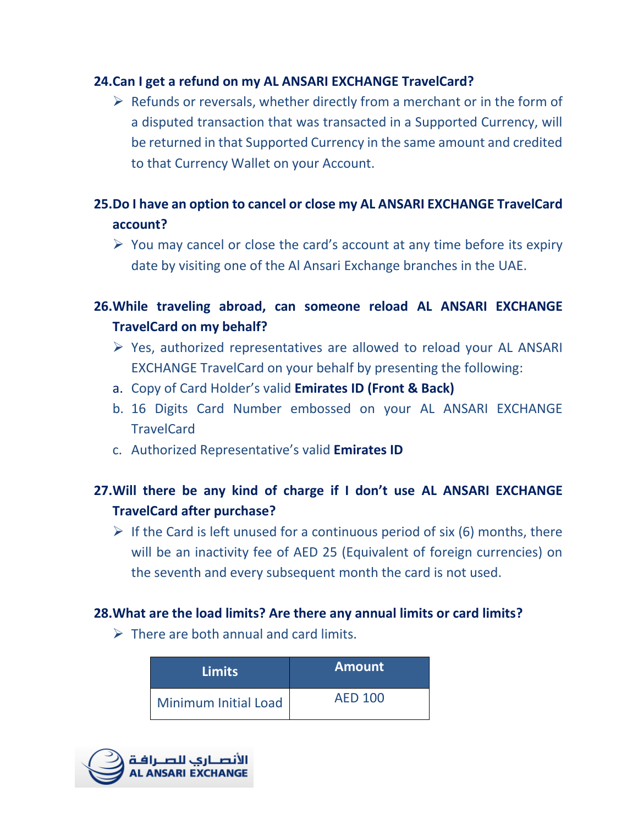#### **24.Can I get a refund on my AL ANSARI EXCHANGE TravelCard?**

 $\triangleright$  Refunds or reversals, whether directly from a merchant or in the form of a disputed transaction that was transacted in a Supported Currency, will be returned in that Supported Currency in the same amount and credited to that Currency Wallet on your Account.

### **25.Do I have an option to cancel or close my AL ANSARI EXCHANGE TravelCard account?**

 $\triangleright$  You may cancel or close the card's account at any time before its expiry date by visiting one of the Al Ansari Exchange branches in the UAE.

### **26.While traveling abroad, can someone reload AL ANSARI EXCHANGE TravelCard on my behalf?**

- $\triangleright$  Yes, authorized representatives are allowed to reload your AL ANSARI EXCHANGE TravelCard on your behalf by presenting the following:
- a. Copy of Card Holder's valid **Emirates ID (Front & Back)**
- b. 16 Digits Card Number embossed on your AL ANSARI EXCHANGE TravelCard
- c. Authorized Representative's valid **Emirates ID**

### **27.Will there be any kind of charge if I don't use AL ANSARI EXCHANGE TravelCard after purchase?**

 $\triangleright$  If the Card is left unused for a continuous period of six (6) months, there will be an inactivity fee of AED 25 (Equivalent of foreign currencies) on the seventh and every subsequent month the card is not used.

#### **28.What are the load limits? Are there any annual limits or card limits?**

 $\triangleright$  There are both annual and card limits.

| <b>Limits</b>               | <b>Amount</b>  |
|-----------------------------|----------------|
| <b>Minimum Initial Load</b> | <b>AED 100</b> |

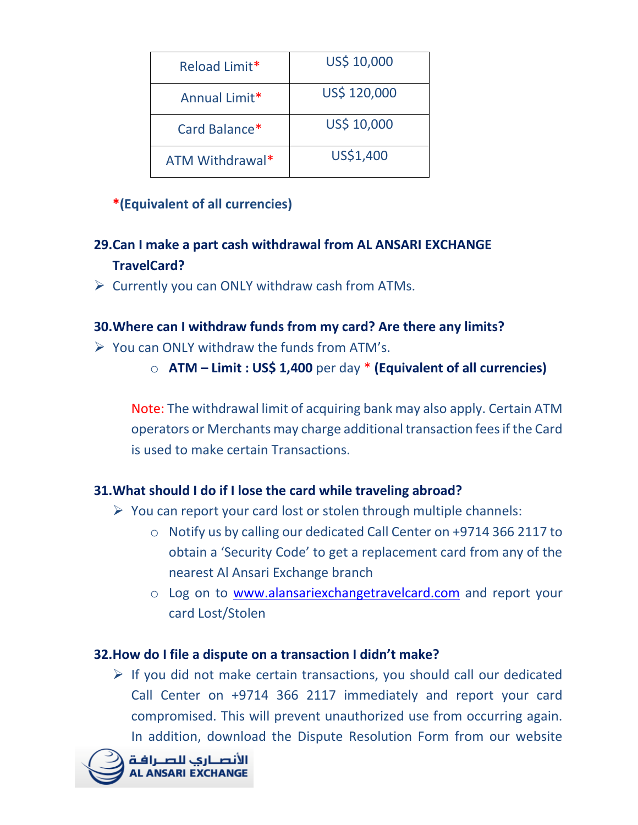| Reload Limit*   | US\$ 10,000  |
|-----------------|--------------|
| Annual Limit*   | US\$ 120,000 |
| Card Balance*   | US\$ 10,000  |
| ATM Withdrawal* | US\$1,400    |

### **\*(Equivalent of all currencies)**

### **29.Can I make a part cash withdrawal from AL ANSARI EXCHANGE TravelCard?**

 $\triangleright$  Currently you can ONLY withdraw cash from ATMs.

### **30.Where can I withdraw funds from my card? Are there any limits?**

- $\triangleright$  You can ONLY withdraw the funds from ATM's.
	- o **ATM – Limit : US\$ 1,400** per day \* **(Equivalent of all currencies)**

Note: The withdrawal limit of acquiring bank may also apply. Certain ATM operators or Merchants may charge additional transaction fees if the Card is used to make certain Transactions.

### **31.What should I do if I lose the card while traveling abroad?**

- $\triangleright$  You can report your card lost or stolen through multiple channels:
	- o Notify us by calling our dedicated Call Center on +9714 366 2117 to obtain a 'Security Code' to get a replacement card from any of the nearest Al Ansari Exchange branch
	- o Log on to [www.alansariexchangetravelcard.com](http://www.alansariexchangetravelcard.com/) and report your card Lost/Stolen

### **32.How do I file a dispute on a transaction I didn't make?**

 $\triangleright$  If you did not make certain transactions, you should call our dedicated Call Center on +9714 366 2117 immediately and report your card compromised. This will prevent unauthorized use from occurring again. In addition, download the Dispute Resolution Form from our website